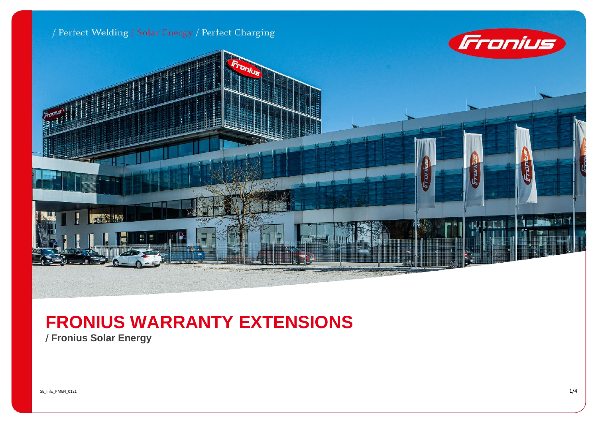

## **FRONIUS WARRANTY EXTENSIONS**

/ **Fronius Solar Energy**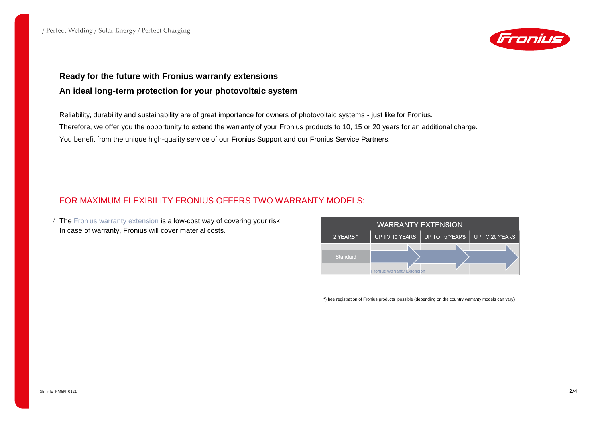

## **Ready for the future with Fronius warranty extensions An ideal long-term protection for your photovoltaic system**

Reliability, durability and sustainability are of great importance for owners of photovoltaic systems - just like for Fronius. Therefore, we offer you the opportunity to extend the warranty of your Fronius products to 10, 15 or 20 years for an additional charge. You benefit from the unique high-quality service of our Fronius Support and our Fronius Service Partners.

## FOR MAXIMUM FLEXIBILITY FRONIUS OFFERS TWO WARRANTY MODELS:

 The Fronius warranty extension is a low-cost way of covering your risk. In case of warranty, Fronius will cover material costs.



\*) free registration of Fronius products possible (depending on the country warranty models can vary)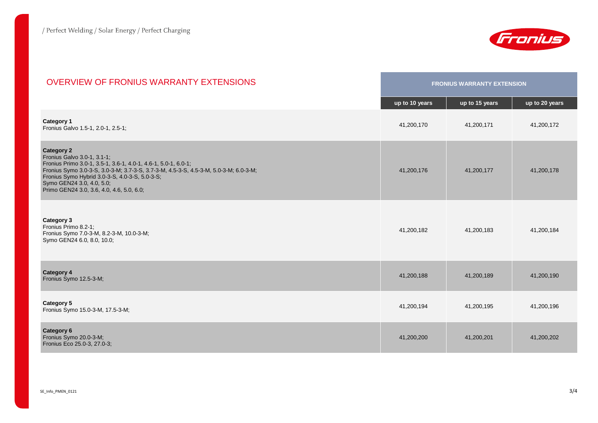

| <b>OVERVIEW OF FRONIUS WARRANTY EXTENSIONS</b>                                                                                                                                                                                                                                                                                         | <b>FRONIUS WARRANTY EXTENSION</b> |                |                |
|----------------------------------------------------------------------------------------------------------------------------------------------------------------------------------------------------------------------------------------------------------------------------------------------------------------------------------------|-----------------------------------|----------------|----------------|
|                                                                                                                                                                                                                                                                                                                                        | up to 10 years                    | up to 15 years | up to 20 years |
| <b>Category 1</b><br>Fronius Galvo 1.5-1, 2.0-1, 2.5-1;                                                                                                                                                                                                                                                                                | 41,200,170                        | 41,200,171     | 41,200,172     |
| <b>Category 2</b><br>Fronius Galvo 3.0-1, 3.1-1;<br>Fronius Primo 3.0-1, 3.5-1, 3.6-1, 4.0-1, 4.6-1, 5.0-1, 6.0-1;<br>Fronius Symo 3.0-3-S, 3.0-3-M, 3.7-3-S, 3.7-3-M, 4.5-3-S, 4.5-3-M, 5.0-3-M, 6.0-3-M;<br>Fronius Symo Hybrid 3.0-3-S, 4.0-3-S, 5.0-3-S;<br>Symo GEN24 3.0, 4.0, 5.0;<br>Primo GEN24 3.0, 3.6, 4.0, 4.6, 5.0, 6.0; | 41,200,176                        | 41,200,177     | 41,200,178     |
| Category 3<br>Fronius Primo 8.2-1;<br>Fronius Symo 7.0-3-M, 8.2-3-M, 10.0-3-M;<br>Symo GEN24 6.0, 8.0, 10.0;                                                                                                                                                                                                                           | 41,200,182                        | 41,200,183     | 41,200,184     |
| <b>Category 4</b><br>Fronius Symo 12.5-3-M;                                                                                                                                                                                                                                                                                            | 41,200,188                        | 41,200,189     | 41,200,190     |
| Category 5<br>Fronius Symo 15.0-3-M, 17.5-3-M;                                                                                                                                                                                                                                                                                         | 41,200,194                        | 41,200,195     | 41,200,196     |
| <b>Category 6</b><br>Fronius Symo 20.0-3-M;<br>Fronius Eco 25.0-3, 27.0-3;                                                                                                                                                                                                                                                             | 41,200,200                        | 41,200,201     | 41,200,202     |